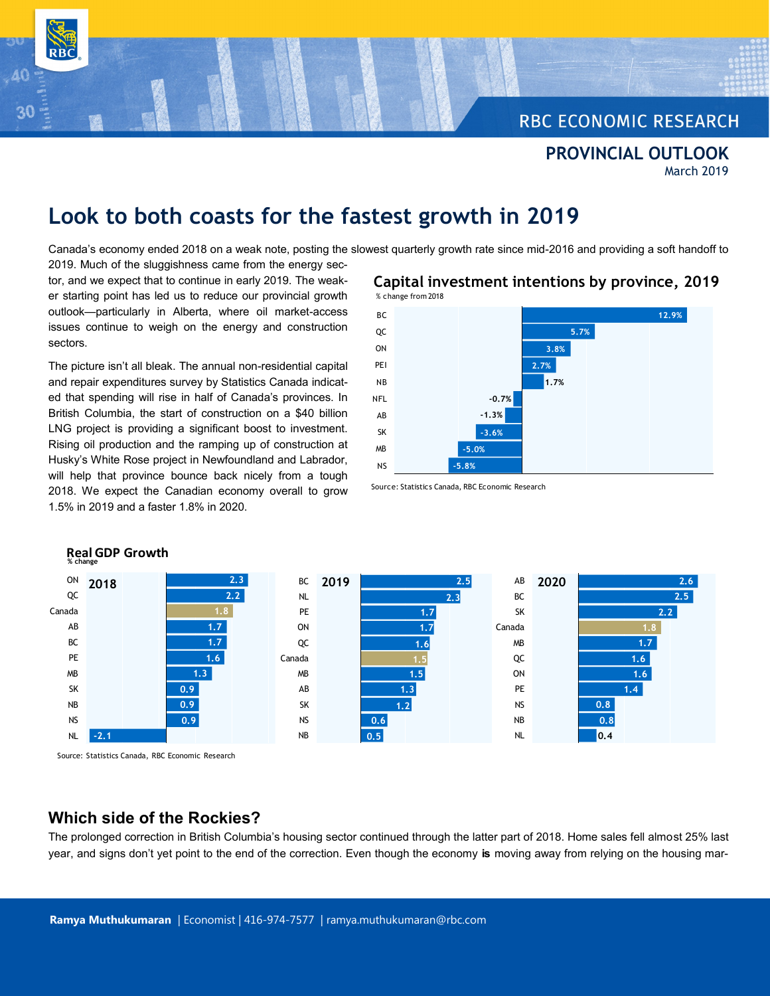# **RBC ECONOMIC RESEARCH**

**PROVINCIAL OUTLOOK** March 2019

# **Look to both coasts for the fastest growth in 2019**

Canada's economy ended 2018 on a weak note, posting the slowest quarterly growth rate since mid-2016 and providing a soft handoff to

2019. Much of the sluggishness came from the energy sector, and we expect that to continue in early 2019. The weaker starting point has led us to reduce our provincial growth outlook—particularly in Alberta, where oil market-access issues continue to weigh on the energy and construction sectors.

The picture isn't all bleak. The annual non-residential capital and repair expenditures survey by Statistics Canada indicated that spending will rise in half of Canada's provinces. In British Columbia, the start of construction on a \$40 billion LNG project is providing a significant boost to investment. Rising oil production and the ramping up of construction at Husky's White Rose project in Newfoundland and Labrador, will help that province bounce back nicely from a tough 2018. We expect the Canadian economy overall to grow 1.5% in 2019 and a faster 1.8% in 2020.



Source: Statistics Canada, RBC Economic Research



Source: Statistics Canada, RBC Economic Research

**Real GDP Growth**

**% change**

# **Which side of the Rockies?**

The prolonged correction in British Columbia's housing sector continued through the latter part of 2018. Home sales fell almost 25% last year, and signs don't yet point to the end of the correction. Even though the economy **is** moving away from relying on the housing mar-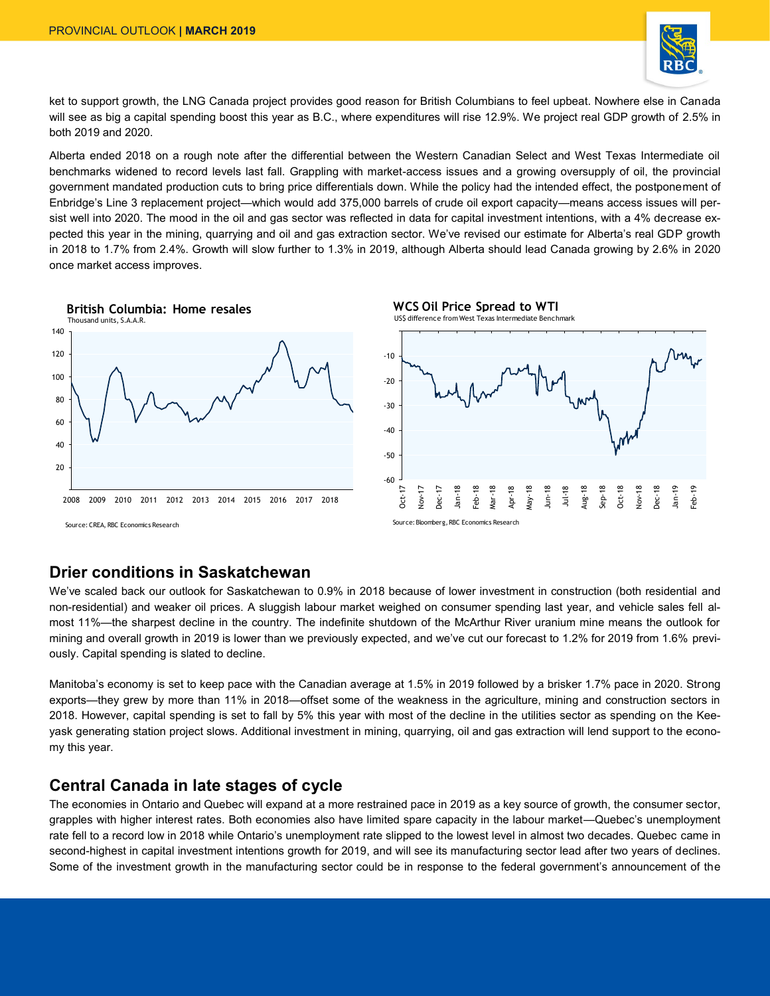

ket to support growth, the LNG Canada project provides good reason for British Columbians to feel upbeat. Nowhere else in Canada will see as big a capital spending boost this year as B.C., where expenditures will rise 12.9%. We project real GDP growth of 2.5% in both 2019 and 2020.

Alberta ended 2018 on a rough note after the differential between the Western Canadian Select and West Texas Intermediate oil benchmarks widened to record levels last fall. Grappling with market-access issues and a growing oversupply of oil, the provincial government mandated production cuts to bring price differentials down. While the policy had the intended effect, the postponement of Enbridge's Line 3 replacement project—which would add 375,000 barrels of crude oil export capacity—means access issues will persist well into 2020. The mood in the oil and gas sector was reflected in data for capital investment intentions, with a 4% decrease expected this year in the mining, quarrying and oil and gas extraction sector. We've revised our estimate for Alberta's real GDP growth in 2018 to 1.7% from 2.4%. Growth will slow further to 1.3% in 2019, although Alberta should lead Canada growing by 2.6% in 2020 once market access improves.



# **Drier conditions in Saskatchewan**

We've scaled back our outlook for Saskatchewan to 0.9% in 2018 because of lower investment in construction (both residential and non-residential) and weaker oil prices. A sluggish labour market weighed on consumer spending last year, and vehicle sales fell almost 11%—the sharpest decline in the country. The indefinite shutdown of the McArthur River uranium mine means the outlook for mining and overall growth in 2019 is lower than we previously expected, and we've cut our forecast to 1.2% for 2019 from 1.6% previously. Capital spending is slated to decline.

Manitoba's economy is set to keep pace with the Canadian average at 1.5% in 2019 followed by a brisker 1.7% pace in 2020. Strong exports—they grew by more than 11% in 2018—offset some of the weakness in the agriculture, mining and construction sectors in 2018. However, capital spending is set to fall by 5% this year with most of the decline in the utilities sector as spending on the Keeyask generating station project slows. Additional investment in mining, quarrying, oil and gas extraction will lend support to the economy this year.

# **Central Canada in late stages of cycle**

The economies in Ontario and Quebec will expand at a more restrained pace in 2019 as a key source of growth, the consumer sector, grapples with higher interest rates. Both economies also have limited spare capacity in the labour market—Quebec's unemployment rate fell to a record low in 2018 while Ontario's unemployment rate slipped to the lowest level in almost two decades. Quebec came in second-highest in capital investment intentions growth for 2019, and will see its manufacturing sector lead after two years of declines. Some of the investment growth in the manufacturing sector could be in response to the federal government's announcement of the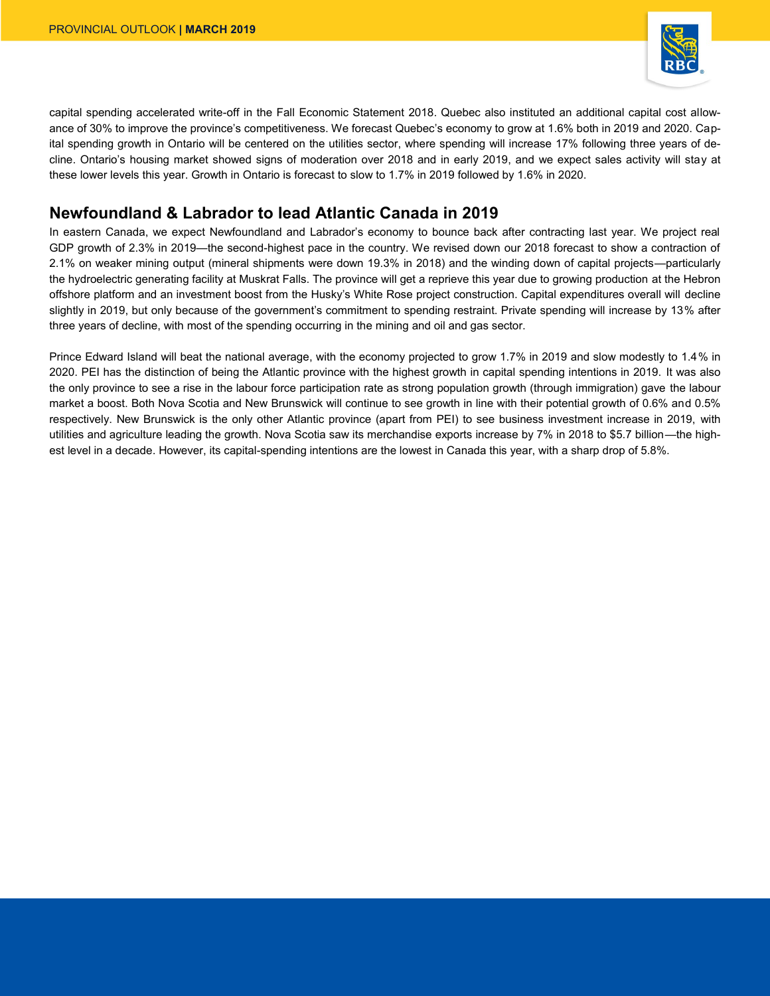

capital spending accelerated write-off in the Fall Economic Statement 2018. Quebec also instituted an additional capital cost allowance of 30% to improve the province's competitiveness. We forecast Quebec's economy to grow at 1.6% both in 2019 and 2020. Capital spending growth in Ontario will be centered on the utilities sector, where spending will increase 17% following three years of decline. Ontario's housing market showed signs of moderation over 2018 and in early 2019, and we expect sales activity will stay at these lower levels this year. Growth in Ontario is forecast to slow to 1.7% in 2019 followed by 1.6% in 2020.

# **Newfoundland & Labrador to lead Atlantic Canada in 2019**

In eastern Canada, we expect Newfoundland and Labrador's economy to bounce back after contracting last year. We project real GDP growth of 2.3% in 2019—the second-highest pace in the country. We revised down our 2018 forecast to show a contraction of 2.1% on weaker mining output (mineral shipments were down 19.3% in 2018) and the winding down of capital projects—particularly the hydroelectric generating facility at Muskrat Falls. The province will get a reprieve this year due to growing production at the Hebron offshore platform and an investment boost from the Husky's White Rose project construction. Capital expenditures overall will decline slightly in 2019, but only because of the government's commitment to spending restraint. Private spending will increase by 13% after three years of decline, with most of the spending occurring in the mining and oil and gas sector.

Prince Edward Island will beat the national average, with the economy projected to grow 1.7% in 2019 and slow modestly to 1.4% in 2020. PEI has the distinction of being the Atlantic province with the highest growth in capital spending intentions in 2019. It was also the only province to see a rise in the labour force participation rate as strong population growth (through immigration) gave the labour market a boost. Both Nova Scotia and New Brunswick will continue to see growth in line with their potential growth of 0.6% and 0.5% respectively. New Brunswick is the only other Atlantic province (apart from PEI) to see business investment increase in 2019, with utilities and agriculture leading the growth. Nova Scotia saw its merchandise exports increase by 7% in 2018 to \$5.7 billion—the highest level in a decade. However, its capital-spending intentions are the lowest in Canada this year, with a sharp drop of 5.8%.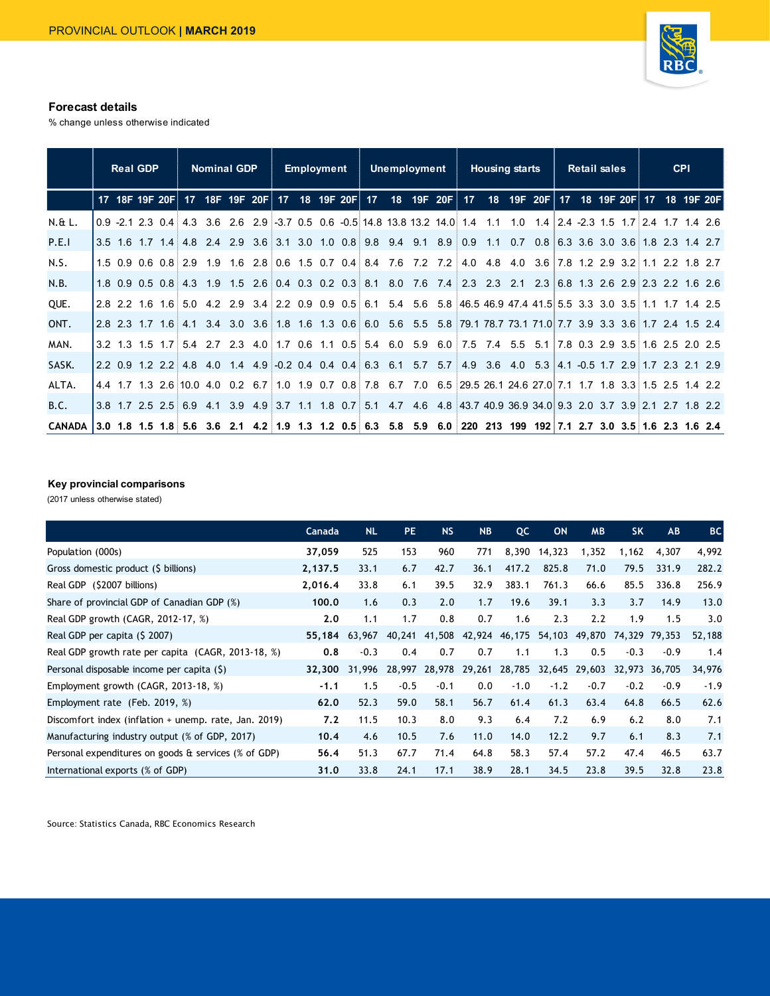

#### **Forecast details**

% change unless otherwise indicated

|               | <b>Real GDP</b> |                     |  | <b>Nominal GDP</b> |  | <b>Employment</b> |  | Unemployment |                                                                                                                      | <b>Housing starts</b> |                                                              |  | <b>Retail sales</b> |  | <b>CPI</b> |  |
|---------------|-----------------|---------------------|--|--------------------|--|-------------------|--|--------------|----------------------------------------------------------------------------------------------------------------------|-----------------------|--------------------------------------------------------------|--|---------------------|--|------------|--|
|               |                 |                     |  |                    |  |                   |  |              | 17 18F 19F 20F 17 18F 19F 20F 17 18 19F 20F 17 18 19F 20F 17                                                         |                       | 18 19F 20F 17 18 19F 20F 17 18 19F 20F                       |  |                     |  |            |  |
| $N.6L$ .      |                 | $0.9 - 2.1 2.3 0.4$ |  |                    |  |                   |  |              | 4.3 3.6 2.6 2.9 3.7 0.5 0.6 -0.5 14.8 13.8 13.2 14.0 1.4 1.1                                                         |                       | $1.0$ $1.4$ $2.4$ $-2.3$ $1.5$ $1.7$ $2.4$ $1.7$ $1.4$ $2.6$ |  |                     |  |            |  |
| P.E.I         |                 |                     |  |                    |  |                   |  |              | 3.5 1.6 1.7 1.4 4.8 2.4 2.9 3.6 3.1 3.0 1.0 0.8 9.8 9.4 9.1 8.9 0.9 1.1 0.7 0.8 6.3 3.6 3.0 3.6 1.8 2.3 1.4 2.7      |                       |                                                              |  |                     |  |            |  |
| N.S.          |                 |                     |  |                    |  |                   |  |              | 1.5 0.9 0.6 0.8 2.9 1.9 1.6 2.8 0.6 1.5 0.7 0.4 8.4 7.6 7.2 7.2 4.0 4.8 4.0 3.6 7.8 1.2 2.9 3.2 1.1 2.2 1.8 2.7      |                       |                                                              |  |                     |  |            |  |
| N.B.          |                 | $1.8$ 0.9 0.5 0.8   |  |                    |  |                   |  |              | 4.3 1.9 1.5 2.6 0.4 0.3 0.2 0.3 8.1 8.0 7.6 7.4 2.3 2.3 2.1 2.3 6.8 1.3 2.6 2.9 2.3 2.2 1.6 2.6                      |                       |                                                              |  |                     |  |            |  |
| QUE.          |                 |                     |  |                    |  |                   |  |              | 2.8 2.2 1.6 1.6 5.0 4.2 2.9 3.4 2.2 0.9 0.9 0.5 6.1 5.4 5.6 5.8 46.5 46.9 47.4 41.5 5.5 3.3 3.0 3.5 1.1 1.7 1.4 2.5  |                       |                                                              |  |                     |  |            |  |
| ONT.          |                 |                     |  |                    |  |                   |  |              | 2.8 2.3 1.7 1.6 4.1 3.4 3.0 3.6 1.8 1.6 1.3 0.6 6.0 5.6 5.5 5.8 79.1 78.7 73.1 71.0 7.7 3.9 3.3 3.6 1.7 2.4 1.5 2.4  |                       |                                                              |  |                     |  |            |  |
| MAN.          |                 |                     |  |                    |  |                   |  |              | 3.2 1.3 1.5 1.7 5.4 2.7 2.3 4.0 1.7 0.6 1.1 0.5 5.4 6.0 5.9 6.0 7.5 7.4 5.5 5.1 7.8 0.3 2.9 3.5 1.6 2.5 2.0 2.5      |                       |                                                              |  |                     |  |            |  |
| SASK.         |                 |                     |  |                    |  |                   |  |              | 2.2 0.9 1.2 2.2 4.8 4.0 1.4 4.9 0.2 0.4 0.4 6.3 6.1 5.7 5.7 4.9 3.6 4.0 5.3 4.1 0.5 1.7 2.9 1.7 2.3 2.1 2.9          |                       |                                                              |  |                     |  |            |  |
| ALTA.         |                 |                     |  |                    |  |                   |  |              | 4.4 1.7 1.3 2.6 10.0 4.0 0.2 6.7 1.0 1.9 0.7 0.8 7.8 6.7 7.0 6.5 29.5 26.1 24.6 27.0 7.1 1.7 1.8 3.3 1.5 2.5 1.4 2.2 |                       |                                                              |  |                     |  |            |  |
| <b>B.C.</b>   |                 |                     |  |                    |  |                   |  |              | 3.8 1.7 2.5 2.5 6.9 4.1 3.9 4.9 3.7 1.1 1.8 0.7 5.1 4.7 4.6 4.8 43.7 40.9 36.9 34.0 9.3 2.0 3.7 3.9 2.1 2.7 1.8 2.2  |                       |                                                              |  |                     |  |            |  |
| <b>CANADA</b> |                 |                     |  |                    |  |                   |  |              | 3.0 1.8 1.5 1.8 5.6 3.6 2.1 4.2 1.9 1.3 1.2 0.5 6.3 5.8 5.9 6.0 220 213 199 192 7.1 2.7 3.0 3.5 1.6 2.3 1.6 2.4      |                       |                                                              |  |                     |  |            |  |

#### **Key provincial comparisons**

| Key provincial comparisons<br>(2017 unless otherwise stated) |         |           |           |           |           |                                    |           |           |           |        |           |  |  |  |
|--------------------------------------------------------------|---------|-----------|-----------|-----------|-----------|------------------------------------|-----------|-----------|-----------|--------|-----------|--|--|--|
|                                                              | Canada  | <b>NL</b> | <b>PE</b> | <b>NS</b> | <b>NB</b> | QC                                 | <b>ON</b> | <b>MB</b> | <b>SK</b> | AB     | <b>BC</b> |  |  |  |
| Population (000s)                                            | 37,059  | 525       | 153       | 960       | 771       | 8,390                              | 14,323    | 1,352     | 1,162     | 4,307  | 4,992     |  |  |  |
| Gross domestic product (\$ billions)                         | 2,137.5 | 33.1      | 6.7       | 42.7      | 36.1      | 417.2                              | 825.8     | 71.0      | 79.5      | 331.9  | 282.2     |  |  |  |
| Real GDP (\$2007 billions)                                   | 2,016.4 | 33.8      | 6.1       | 39.5      | 32.9      | 383.1                              | 761.3     | 66.6      | 85.5      | 336.8  | 256.9     |  |  |  |
| Share of provincial GDP of Canadian GDP (%)                  | 100.0   | 1.6       | 0.3       | 2.0       | 1.7       | 19.6                               | 39.1      | 3.3       | 3.7       | 14.9   | 13.0      |  |  |  |
| Real GDP growth (CAGR, 2012-17, %)                           | 2.0     | 1.1       | 1.7       | 0.8       | 0.7       | 1.6                                | 2.3       | 2.2       | 1.9       | 1.5    | 3.0       |  |  |  |
| Real GDP per capita (\$ 2007)                                | 55,184  | 63.967    |           |           |           | 40,241 41,508 42,924 46,175        | 54,103    | 49,870    | 74,329    | 79.353 | 52,188    |  |  |  |
| Real GDP growth rate per capita (CAGR, 2013-18, %)           | 0.8     | $-0.3$    | 0.4       | 0.7       | 0.7       | 1.1                                | 1.3       | 0.5       | $-0.3$    | $-0.9$ | 1.4       |  |  |  |
| Personal disposable income per capita (\$)                   | 32,300  | 31,996    |           |           |           | 28,997 28,978 29,261 28,785 32,645 |           | 29,603    | 32,973    | 36,705 | 34,976    |  |  |  |
| Employment growth (CAGR, 2013-18, %)                         | $-1.1$  | 1.5       | $-0.5$    | $-0.1$    | 0.0       | $-1.0$                             | $-1.2$    | $-0.7$    | $-0.2$    | $-0.9$ | $-1.9$    |  |  |  |
| Employment rate (Feb. 2019, %)                               | 62.0    | 52.3      | 59.0      | 58.1      | 56.7      | 61.4                               | 61.3      | 63.4      | 64.8      | 66.5   | 62.6      |  |  |  |
| Discomfort index (inflation + unemp. rate, Jan. 2019)        | 7.2     | 11.5      | 10.3      | 8.0       | 9.3       | 6.4                                | 7.2       | 6.9       | 6.2       | 8.0    | 7.1       |  |  |  |
| Manufacturing industry output (% of GDP, 2017)               | 10.4    | 4.6       | 10.5      | 7.6       | 11.0      | 14.0                               | 12.2      | 9.7       | 6.1       | 8.3    | 7.1       |  |  |  |
| Personal expenditures on goods & services (% of GDP)         | 56.4    | 51.3      | 67.7      | 71.4      | 64.8      | 58.3                               | 57.4      | 57.2      | 47.4      | 46.5   | 63.7      |  |  |  |
| International exports (% of GDP)                             | 31.0    | 33.8      | 24.1      | 17.1      | 38.9      | 28.1                               | 34.5      | 23.8      | 39.5      | 32.8   | 23.8      |  |  |  |

Source: Statistics Canada, RBC Economics Research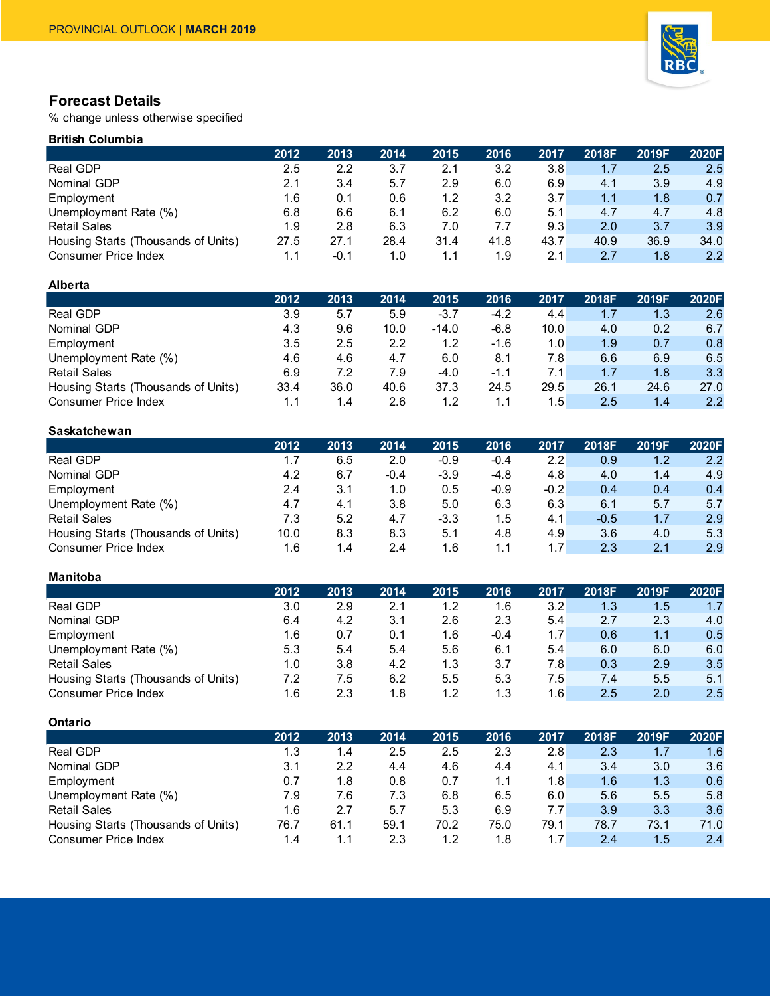

# **Forecast Details**

% change unless otherwise specified

# **British Columbia**

|                                     | 2012 | 2013 | 2014 | 2015 | 2016 | 2017 | 2018F | 2019F | 2020F |
|-------------------------------------|------|------|------|------|------|------|-------|-------|-------|
| Real GDP                            | 2.5  | 2.2  | 3.7  | 2.1  | 3.2  | 3.8  | 1.7   | 2.5   | 2.5   |
| Nominal GDP                         | 2.1  | 3.4  | 5.7  | 2.9  | 6.0  | 6.9  | 4.1   | 3.9   | 4.9   |
| Employment                          | 1.6  | 0.1  | 0.6  | 1.2  | 3.2  | 3.7  | 1.1   | 1.8   | 0.7   |
| Unemployment Rate (%)               | 6.8  | 6.6  | 6.1  | 6.2  | 6.0  | 5.1  | 4.7   | 4.7   | 4.8   |
| <b>Retail Sales</b>                 | 1.9  | 2.8  | 6.3  | 7.0  | 7.7  | 9.3  | 2.0   | 3.7   | 3.9   |
| Housing Starts (Thousands of Units) | 27.5 | 27.1 | 28.4 | 31.4 | 41.8 | 43.7 | 40.9  | 36.9  | 34.0  |
| <b>Consumer Price Index</b>         | 1.1  | -0.1 | 1.0  | 1.1  | 1.9  | 2.1  | 2.7   | 1.8   | 2.2   |

#### **Alberta**

|                                     | 2012 | 2013 | 2014 | 2015    | 2016   | 2017 | 2018F | 2019F | 2020F |
|-------------------------------------|------|------|------|---------|--------|------|-------|-------|-------|
| Real GDP                            | 3.9  | 5.7  | 5.9  | $-3.7$  | -4.2   | 4.4  | 1.7   | 1.3   | 2.6   |
| Nominal GDP                         | 4.3  | 9.6  | 10.0 | $-14.0$ | $-6.8$ | 10.0 | 4.0   | 0.2   | 6.7   |
| Employment                          | 3.5  | 2.5  | 2.2  | 1.2     | $-1.6$ | 1.0  | 1.9   | 0.7   | 0.8   |
| Unemployment Rate (%)               | 4.6  | 4.6  | 4.7  | 6.0     | 8.1    | 7.8  | 6.6   | 6.9   | 6.5   |
| <b>Retail Sales</b>                 | 6.9  | 7.2  | 7.9  | -4.0    | $-1.1$ | 7.1  | 1.7   | 1.8   | 3.3   |
| Housing Starts (Thousands of Units) | 33.4 | 36.0 | 40.6 | 37.3    | 24.5   | 29.5 | 26.1  | 24.6  | 27.0  |
| <b>Consumer Price Index</b>         | 1.1  | 1.4  | 2.6  | 1.2     | 1.1    | 1.5  | 2.5   | 1.4   | 2.2   |

## **Saskatchewan**

|                                     | 2012 | 2013 | 2014   | 2015   | 2016   | 2017             | 2018F  | 2019F | 2020F         |
|-------------------------------------|------|------|--------|--------|--------|------------------|--------|-------|---------------|
| Real GDP                            | 1.7  | 6.5  | 2.0    | $-0.9$ | $-0.4$ | 2.2 <sub>1</sub> | 0.9    | 1.2   | $2.2^{\circ}$ |
| Nominal GDP                         | 4.2  | 6.7  | $-0.4$ | $-3.9$ | $-4.8$ | 4.8              | 4.0    | 1.4   | 4.9           |
| Employment                          | 2.4  | 3.1  | 1.0    | 0.5    | $-0.9$ | $-0.2$           | 0.4    | 0.4   | 0.4           |
| Unemployment Rate (%)               | 4.7  | 4.1  | 3.8    | 5.0    | 6.3    | 6.3              | 6.1    | 5.7   | 5.7           |
| <b>Retail Sales</b>                 | 7.3  | 5.2  | 4.7    | $-3.3$ | 1.5    | 4.1              | $-0.5$ | 1.7   | 2.9           |
| Housing Starts (Thousands of Units) | 10.0 | 8.3  | 8.3    | 5.1    | 4.8    | 4.9              | 3.6    | 4.0   | 5.3           |
| <b>Consumer Price Index</b>         | 1.6  | 1.4  | 2.4    | 1.6    | 1.1    | 1.7              | 2.3    | 2.1   | 2.9           |

#### **Manitoba**

|                                     | 2012 | 2013 | 2014 | 2015 | 2016   | 2017 | 2018F | 2019F | 2020F |
|-------------------------------------|------|------|------|------|--------|------|-------|-------|-------|
| Real GDP                            | 3.0  | 2.9  | 2.1  | 1.2  | 1.6    | 3.2  | 1.3   | 1.5   | 1.7   |
| Nominal GDP                         | 6.4  | 4.2  | 3.1  | 2.6  | 2.3    | 5.4  | 2.7   | 2.3   | 4.0   |
| Employment                          | 1.6  | 0.7  | 0.1  | 1.6  | $-0.4$ | 1.7  | 0.6   | 1.1   | 0.5   |
| Unemployment Rate (%)               | 5.3  | 5.4  | 5.4  | 5.6  | 6.1    | 5.4  | 6.0   | 6.0   | 6.0   |
| <b>Retail Sales</b>                 | 1.0  | 3.8  | 4.2  | 1.3  | 3.7    | 7.8  | 0.3   | 2.9   | 3.5   |
| Housing Starts (Thousands of Units) | 7.2  | 7.5  | 6.2  | 5.5  | 5.3    | 7.5  | 7.4   | 5.5   | 5.1   |
| <b>Consumer Price Index</b>         | 1.6  | 2.3  | 1.8  | 1.2  | 1.3    | 1.6  | 2.5   | 2.0   | 2.5   |

### **Ontario**

|                                     | 2012 | 2013 | 2014 | 2015 | 2016 | 2017 | 2018F | 2019F | 2020F |
|-------------------------------------|------|------|------|------|------|------|-------|-------|-------|
| Real GDP                            | 1.3  | 1.4  | 2.5  | 2.5  | 2.3  | 2.8  | 2.3   | 1.7   | 1.6   |
| Nominal GDP                         | 3.1  | 2.2  | 4.4  | 4.6  | 4.4  | 4.1  | 3.4   | 3.0   | 3.6   |
| Employment                          | 0.7  | 1.8  | 0.8  | 0.7  | 1.1  | 1.8  | 1.6   | 1.3   | 0.6   |
| Unemployment Rate (%)               | 7.9  | 7.6  | 7.3  | 6.8  | 6.5  | 6.0  | 5.6   | 5.5   | 5.8   |
| <b>Retail Sales</b>                 | 1.6  | 2.7  | 5.7  | 5.3  | 6.9  | 7.7  | 3.9   | 3.3   | 3.6   |
| Housing Starts (Thousands of Units) | 76.7 | 61.1 | 59.1 | 70.2 | 75.0 | 79.1 | 78.7  | 73.1  | 71.0  |
| <b>Consumer Price Index</b>         | 1.4  | 1.1  | 2.3  | 1.2  | 1.8  | 1.7  | 2.4   | 1.5   | 2.4   |